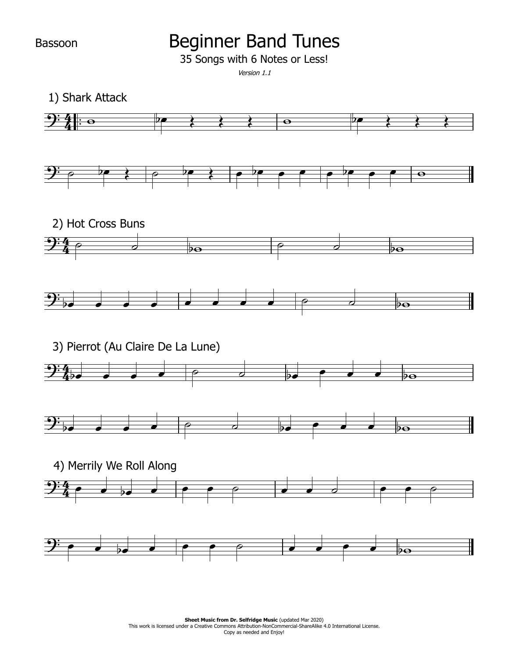Bassoon

## Beginner Band Tunes

35 Songs with 6 Notes or Less!

Version 1.1

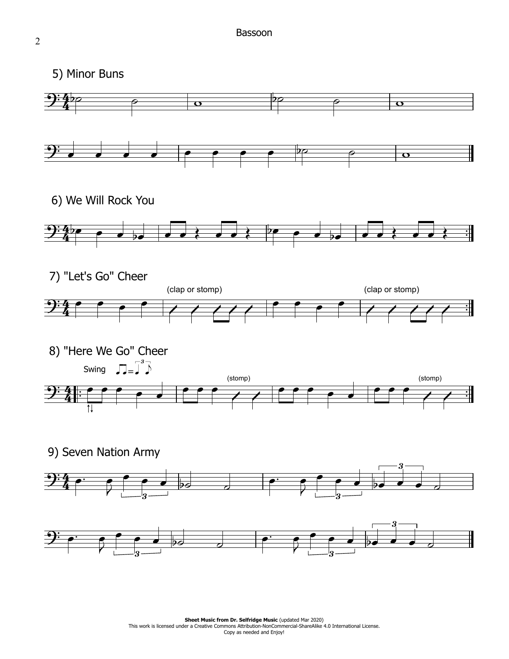5) Minor Buns

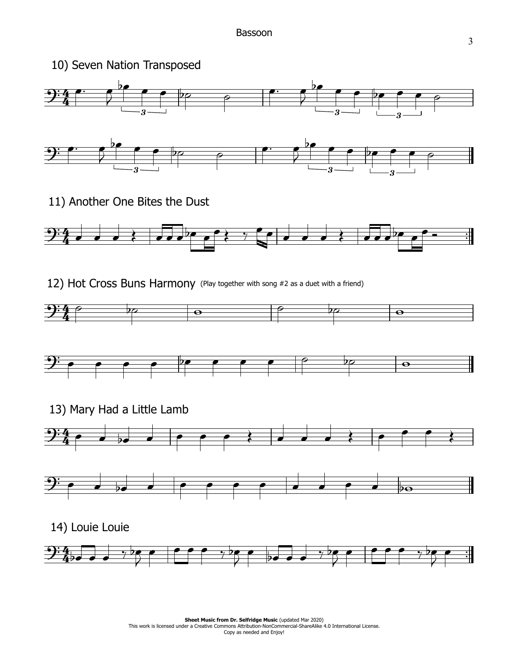

11) Another One Bites the Dust



12) Hot Cross Buns Harmony (Play together with song #2 as <sup>a</sup> duet with <sup>a</sup> friend)





13) Mary Had a Little Lamb





14) Louie Louie

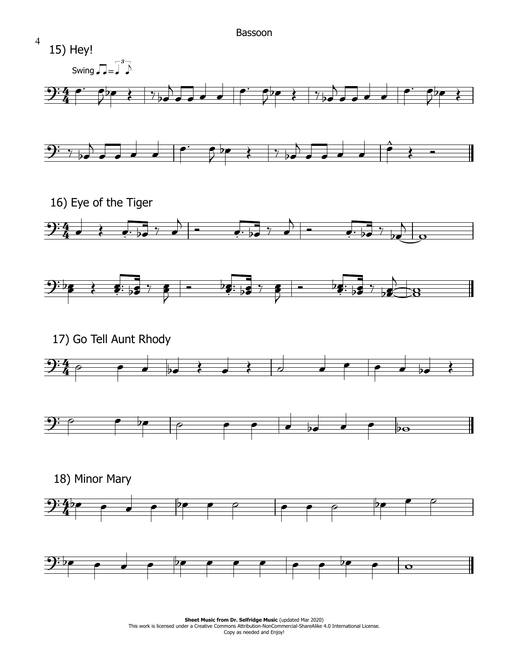

**Sheet Music from Dr. Selfridge Music (updated Mar 2020) Sheet Music from Dr. Selfridge Music** (updated Mar 2020)<br>This work is licensed under a Creative Commons Attribution-NonCommercial-ShareAlike 4.0 International License. Copy as needed and Enjoy!

4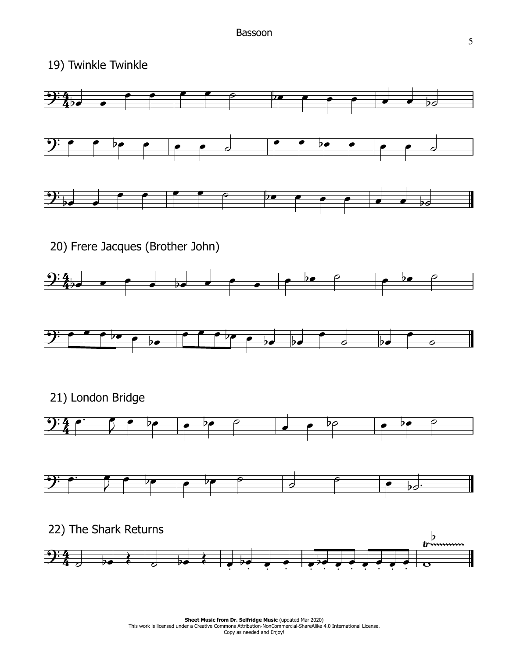19) Twinkle Twinkle

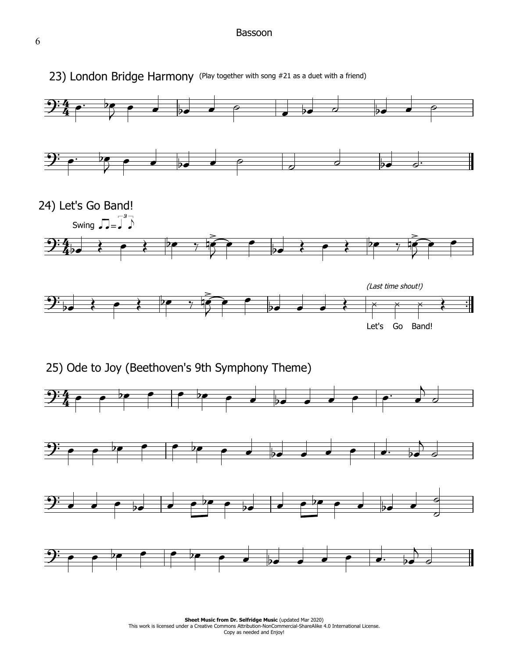## Bassoon



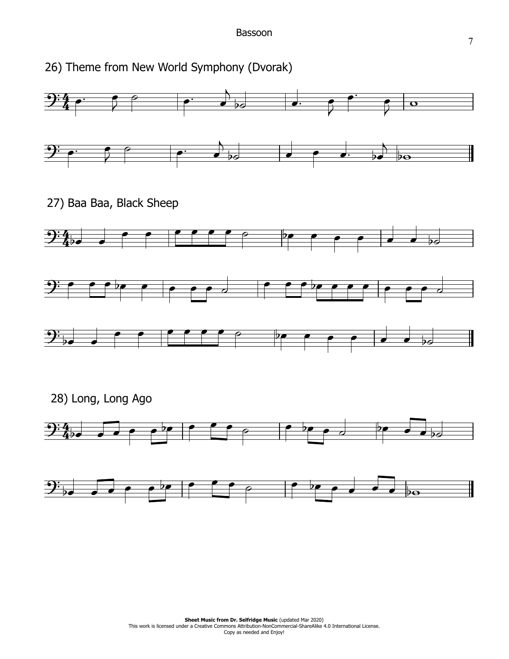26) Theme from New World Symphony (Dvorak)



28) Long, Long Ago

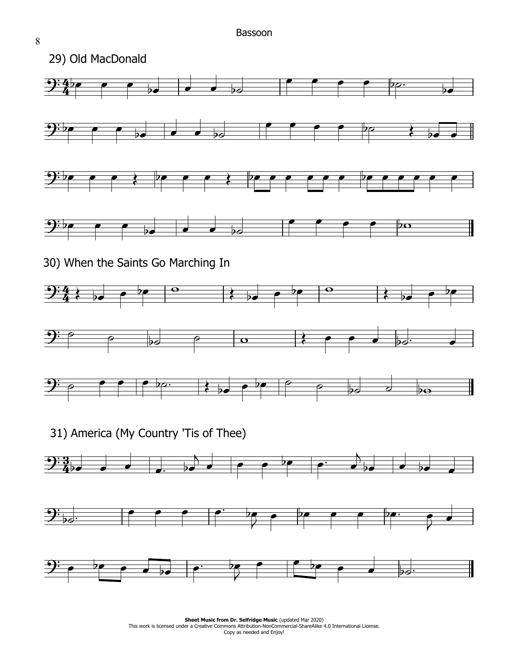